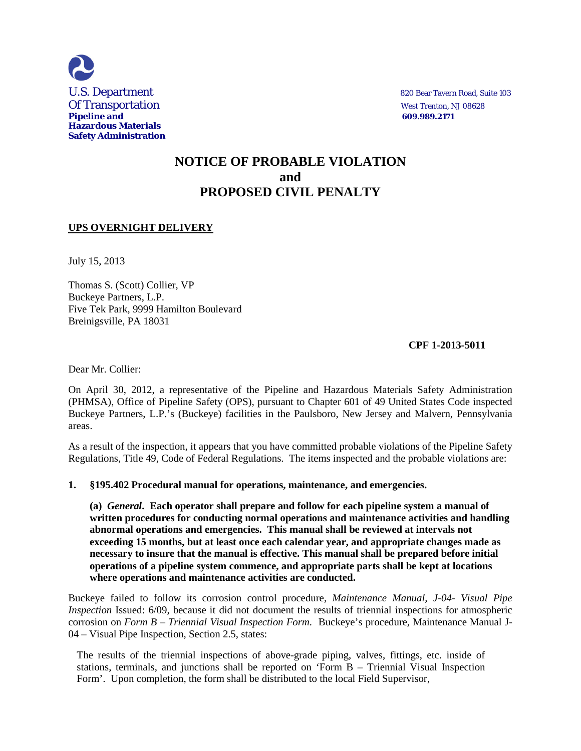

# **NOTICE OF PROBABLE VIOLATION and PROPOSED CIVIL PENALTY**

## **UPS OVERNIGHT DELIVERY**

July 15, 2013

Thomas S. (Scott) Collier, VP Buckeye Partners, L.P. Five Tek Park, 9999 Hamilton Boulevard Breinigsville, PA 18031

### **CPF 1-2013-5011**

Dear Mr. Collier:

On April 30, 2012, a representative of the Pipeline and Hazardous Materials Safety Administration (PHMSA), Office of Pipeline Safety (OPS), pursuant to Chapter 601 of 49 United States Code inspected Buckeye Partners, L.P.'s (Buckeye) facilities in the Paulsboro, New Jersey and Malvern, Pennsylvania areas.

As a result of the inspection, it appears that you have committed probable violations of the Pipeline Safety Regulations, Title 49, Code of Federal Regulations. The items inspected and the probable violations are:

#### **1. §195.402 Procedural manual for operations, maintenance, and emergencies.**

**(a)** *General***. Each operator shall prepare and follow for each pipeline system a manual of written procedures for conducting normal operations and maintenance activities and handling abnormal operations and emergencies. This manual shall be reviewed at intervals not exceeding 15 months, but at least once each calendar year, and appropriate changes made as necessary to insure that the manual is effective. This manual shall be prepared before initial operations of a pipeline system commence, and appropriate parts shall be kept at locations where operations and maintenance activities are conducted.**

Buckeye failed to follow its corrosion control procedure, *Maintenance Manual, J-04- Visual Pipe Inspection* Issued: 6/09, because it did not document the results of triennial inspections for atmospheric corrosion on *Form B – Triennial Visual Inspection Form*. Buckeye's procedure, Maintenance Manual J-04 – Visual Pipe Inspection, Section 2.5, states:

The results of the triennial inspections of above-grade piping, valves, fittings, etc. inside of stations, terminals, and junctions shall be reported on 'Form B – Triennial Visual Inspection Form'. Upon completion, the form shall be distributed to the local Field Supervisor,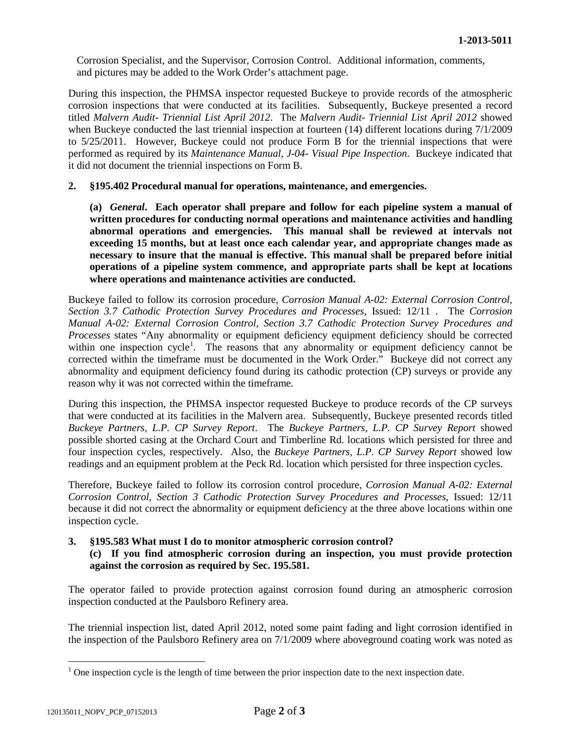Corrosion Specialist, and the Supervisor, Corrosion Control. Additional information, comments, and pictures may be added to the Work Order's attachment page.

During this inspection, the PHMSA inspector requested Buckeye to provide records of the atmospheric corrosion inspections that were conducted at its facilities. Subsequently, Buckeye presented a record titled *Malvern Audit- Triennial List April 2012*. The *Malvern Audit- Triennial List April 2012* showed when Buckeye conducted the last triennial inspection at fourteen (14) different locations during 7/1/2009 to 5/25/2011. However, Buckeye could not produce Form B for the triennial inspections that were performed as required by its *Maintenance Manual, J-04- Visual Pipe Inspection*. Buckeye indicated that it did not document the triennial inspections on Form B.

#### **2. §195.402 Procedural manual for operations, maintenance, and emergencies.**

**(a)** *General***. Each operator shall prepare and follow for each pipeline system a manual of written procedures for conducting normal operations and maintenance activities and handling abnormal operations and emergencies. This manual shall be reviewed at intervals not exceeding 15 months, but at least once each calendar year, and appropriate changes made as necessary to insure that the manual is effective. This manual shall be prepared before initial operations of a pipeline system commence, and appropriate parts shall be kept at locations where operations and maintenance activities are conducted.**

Buckeye failed to follow its corrosion procedure, *Corrosion Manual A-02: External Corrosion Control, Section 3.7 Cathodic Protection Survey Procedures and Processes*, Issued: 12/11 . The *Corrosion Manual A-02: External Corrosion Control, Section 3.7 Cathodic Protection Survey Procedures and Processes* states "Any abnormality or equipment deficiency equipment deficiency should be corrected within one inspection cycle<sup>1</sup>. The reasons that any abnormality or equipment deficiency cannot be corrected within the timeframe must be documented in the Work Order." Buckeye did not correct any abnormality and equipment deficiency found during its cathodic protection (CP) surveys or provide any reason why it was not corrected within the timeframe.

During this inspection, the PHMSA inspector requested Buckeye to produce records of the CP surveys that were conducted at its facilities in the Malvern area. Subsequently, Buckeye presented records titled *Buckeye Partners, L.P. CP Survey Report*. The *Buckeye Partners, L.P. CP Survey Report* showed possible shorted casing at the Orchard Court and Timberline Rd. locations which persisted for three and four inspection cycles, respectively. Also, the *Buckeye Partners, L.P. CP Survey Report* showed low readings and an equipment problem at the Peck Rd. location which persisted for three inspection cycles.

Therefore, Buckeye failed to follow its corrosion control procedure, *Corrosion Manual A-02: External Corrosion Control, Section 3 Cathodic Protection Survey Procedures and Processes*, Issued: 12/11 because it did not correct the abnormality or equipment deficiency at the three above locations within one inspection cycle.

#### **3. §195.583 What must I do to monitor atmospheric corrosion control? (c) If you find atmospheric corrosion during an inspection, you must provide protection against the corrosion as required by Sec. 195.581.**

The operator failed to provide protection against corrosion found during an atmospheric corrosion inspection conducted at the Paulsboro Refinery area.

The triennial inspection list, dated April 2012, noted some paint fading and light corrosion identified in the inspection of the Paulsboro Refinery area on 7/1/2009 where aboveground coating work was noted as

 $\overline{a}$  $1$  One inspection cycle is the length of time between the prior inspection date to the next inspection date.